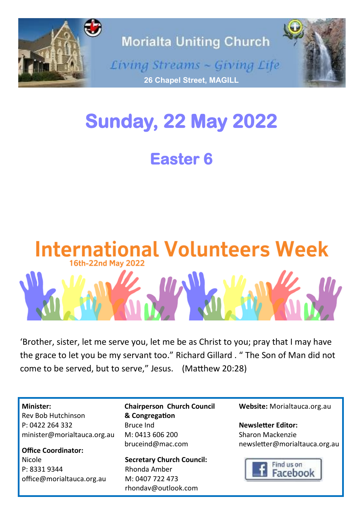

# **Sunday, 22 May 2022**

**Easter 6** 



'Brother, sister, let me serve you, let me be as Christ to you; pray that I may have the grace to let you be my servant too." Richard Gillard . " The Son of Man did not come to be served, but to serve," Jesus. [\(Matthew 20:28\)](https://www.biblegateway.com/passage/?search=Matthew%2020%3A28&version=NIV)

**Minister:**

Rev Bob Hutchinson P: 0422 264 332 minister@morialtauca.org.au

**Office Coordinator:** Nicole P: 8331 9344 office@morialtauca.org.au **Chairperson Church Council & Congregation** Bruce Ind M: 0413 606 200 [bruceind@mac.com](mailto:christine.secombe@bigpond.com)

**Secretary Church Council:** Rhonda Amber M: 0407 722 473 [rhondav@outlook.com](mailto:christine.secombe@bigpond.com)

**Website:** Morialtauca.org.au

**Newsletter Editor:** Sharon Mackenzie newsletter@morialtauca.org.au

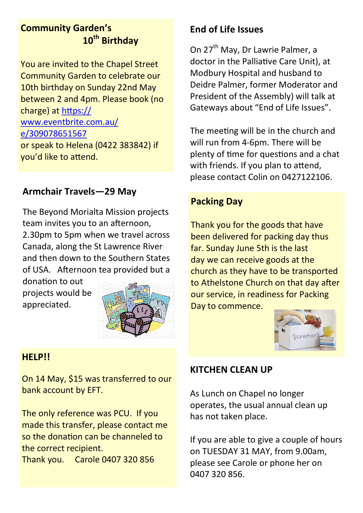## **Community Garden's 10th Birthday**

You are invited to the Chapel Street Community Garden to celebrate our 10th birthday on Sunday 22nd May between 2 and 4pm. Please book (no charge) at [https://](https://www.eventbrite.com.au/e/309078651567) [www.eventbrite.com.au/](https://www.eventbrite.com.au/e/309078651567) [e/309078651567](https://www.eventbrite.com.au/e/309078651567) or speak to Helena (0422 383842) if you'd like to attend.

## **Armchair Travels—29 May**

The Beyond Morialta Mission projects team invites you to an afternoon, 2.30pm to 5pm when we travel across Canada, along the St Lawrence River and then down to the Southern States of USA. Afternoon tea provided but a

donation to out projects would be appreciated.



### **HELP!!**

On 14 May, \$15 was transferred to our bank account by EFT.

The only reference was PCU. If you made this transfer, please contact me so the donation can be channeled to the correct recipient. Thank you. Carole 0407 320 856

## **End of Life Issues**

On 27<sup>th</sup> May, Dr Lawrie Palmer, a doctor in the Palliative Care Unit), at Modbury Hospital and husband to Deidre Palmer, former Moderator and President of the Assembly) will talk at Gateways about "End of Life Issues".

The meeting will be in the church and will run from 4-6pm. There will be plenty of time for questions and a chat with friends. If you plan to attend, please contact Colin on 0427122106.

## **Packing Day**

Thank you for the goods that have been delivered for packing day thus far. Sunday June 5th is the last day we can receive goods at the church as they have to be transported to Athelstone Church on that day after our service, in readiness for Packing Day to commence.



### **KITCHEN CLEAN UP**

As Lunch on Chapel no longer operates, the usual annual clean up has not taken place.

If you are able to give a couple of hours on TUESDAY 31 MAY, from 9.00am, please see Carole or phone her on 0407 320 856.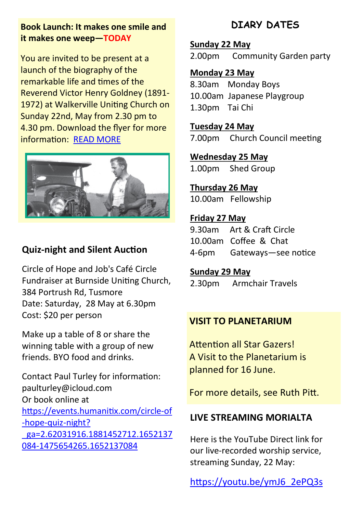### **Book Launch: It makes one smile and it makes one weep—TODAY**

You are invited to be present at a launch of the biography of the remarkable life and times of the Reverend Victor Henry Goldney (1891- 1972) at Walkerville Uniting Church on Sunday 22nd, May from 2.30 pm to 4.30 pm. Download the flyer for more information: [READ MORE](https://unitingchurchsa-my.sharepoint.com/personal/bransome_sa_uca_org_au/_layouts/15/onedrive.aspx?id=%2Fpersonal%2Fbransome%5Fsa%5Fuca%5Forg%5Fau%2FDocuments%2FBook%20launch%20109482%20A4%20Flyer%5FD%20Goldney%20Final%2001052022%2Epdf&parent=%2Fpersonal%25)



## **Quiz-night and Silent Auction**

Circle of Hope and Job's Café Circle Fundraiser at Burnside Uniting Church, 384 Portrush Rd, Tusmore Date: Saturday, 28 May at 6.30pm Cost: \$20 per person

Make up a table of 8 or share the winning table with a group of new friends. BYO food and drinks.

Contact Paul Turley for information: paulturley@icloud.com Or book online at [https://events.humanitix.com/circle](https://events.humanitix.com/circle-of-hope-quiz-night?_ga=2.62031916.1881452712.1652137084-1475654265.1652137084)-of -hope-quiz-[night?](https://events.humanitix.com/circle-of-hope-quiz-night?_ga=2.62031916.1881452712.1652137084-1475654265.1652137084) [\\_ga=2.62031916.1881452712.1652137](https://events.humanitix.com/circle-of-hope-quiz-night?_ga=2.62031916.1881452712.1652137084-1475654265.1652137084) 084-[1475654265.1652137084](https://events.humanitix.com/circle-of-hope-quiz-night?_ga=2.62031916.1881452712.1652137084-1475654265.1652137084)

## **DIARY DATES**

#### **Sunday 22 May**

2.00pm Community Garden party

## **Monday 23 May**

8.30am Monday Boys 10.00am Japanese Playgroup 1.30pm Tai Chi

**Tuesday 24 May**  7.00pm Church Council meeting

**Wednesday 25 May** 1.00pm Shed Group

**Thursday 26 May** 10.00am Fellowship

### **Friday 27 May**

9.30am Art & Craft Circle 10.00am Coffee & Chat 4-6pm Gateways—see notice

#### **Sunday 29 May**

2.30pm Armchair Travels

## **VISIT TO PLANETARIUM**

Attention all Star Gazers! A Visit to the Planetarium is planned for 16 June.

For more details, see Ruth Pitt.

## **LIVE STREAMING MORIALTA**

Here is the YouTube Direct link for our live-recorded worship service, streaming Sunday, 22 May:

[https://youtu.be/ymJ6\\_2ePQ3s](https://youtu.be/ymJ6_2ePQ3s)